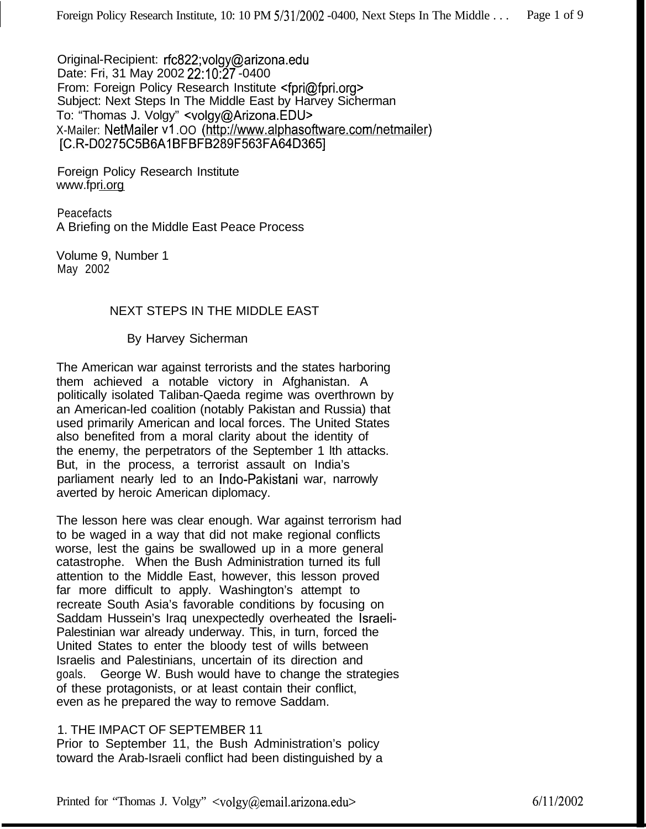Original-Recipient: rfc822;volgy@arizona.edu Date: Fri, 31 May 2002 22:10:27 -0400 From: Foreign Policy Research Institute <fpri@fpri.org> Subject: Next Steps In The Middle East by Harvey Sicherman To: "Thomas J. Volgy" <volgy@Arizona.EDU> X-Mailer: NetMailer v1.00 (http://www.alphasoftware.com/netmailer) [C.R-D0275C5B6Al BFBFB289F563FA64D3651

Foreign Policy Research Institute www.fpri.org

Peacefacts A Briefing on the Middle East Peace Process

Volume 9, Number 1 May 2002

# NEXT STEPS IN THE MIDDLE EAST

By Harvey Sicherman

The American war against terrorists and the states harboring them achieved a notable victory in Afghanistan. A politically isolated Taliban-Qaeda regime was overthrown by an American-led coalition (notably Pakistan and Russia) that used primarily American and local forces. The United States also benefited from a moral clarity about the identity of the enemy, the perpetrators of the September 1 lth attacks. But, in the process, a terrorist assault on India's parliament nearly led to an Indo-Pakistani war, narrowly averted by heroic American diplomacy.

The lesson here was clear enough. War against terrorism had to be waged in a way that did not make regional conflicts worse, lest the gains be swallowed up in a more general catastrophe. When the Bush Administration turned its full attention to the Middle East, however, this lesson proved far more difficult to apply. Washington's attempt to recreate South Asia's favorable conditions by focusing on Saddam Hussein's Iraq unexpectedly overheated the Israeli-Palestinian war already underway. This, in turn, forced the United States to enter the bloody test of wills between Israelis and Palestinians, uncertain of its direction and goals. George W. Bush would have to change the strategies of these protagonists, or at least contain their conflict, even as he prepared the way to remove Saddam.

# 1. THE IMPACT OF SEPTEMBER 11

Prior to September 11, the Bush Administration's policy toward the Arab-Israeli conflict had been distinguished by a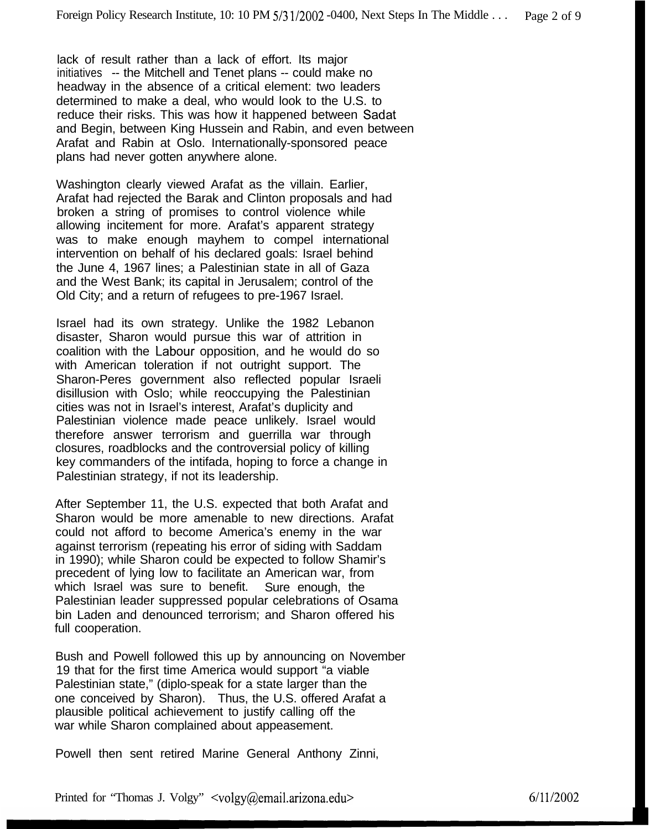lack of result rather than a lack of effort. Its major initiatives -- the Mitchell and Tenet plans -- could make no headway in the absence of a critical element: two leaders determined to make a deal, who would look to the U.S. to reduce their risks. This was how it happened between Sadat and Begin, between King Hussein and Rabin, and even between Arafat and Rabin at Oslo. Internationally-sponsored peace plans had never gotten anywhere alone.

Washington clearly viewed Arafat as the villain. Earlier, Arafat had rejected the Barak and Clinton proposals and had broken a string of promises to control violence while allowing incitement for more. Arafat's apparent strategy was to make enough mayhem to compel international intervention on behalf of his declared goals: Israel behind the June 4, 1967 lines; a Palestinian state in all of Gaza and the West Bank; its capital in Jerusalem; control of the Old City; and a return of refugees to pre-1967 Israel.

Israel had its own strategy. Unlike the 1982 Lebanon disaster, Sharon would pursue this war of attrition in coalition with the Labour opposition, and he would do so with American toleration if not outright support. The Sharon-Peres government also reflected popular Israeli disillusion with Oslo; while reoccupying the Palestinian cities was not in Israel's interest, Arafat's duplicity and Palestinian violence made peace unlikely. Israel would therefore answer terrorism and guerrilla war through closures, roadblocks and the controversial policy of killing key commanders of the intifada, hoping to force a change in Palestinian strategy, if not its leadership.

After September 11, the U.S. expected that both Arafat and Sharon would be more amenable to new directions. Arafat could not afford to become America's enemy in the war against terrorism (repeating his error of siding with Saddam in 1990); while Sharon could be expected to follow Shamir's precedent of lying low to facilitate an American war, from which Israel was sure to benefit. Sure enough, the Palestinian leader suppressed popular celebrations of Osama bin Laden and denounced terrorism; and Sharon offered his full cooperation.

Bush and Powell followed this up by announcing on November 19 that for the first time America would support "a viable Palestinian state," (diplo-speak for a state larger than the one conceived by Sharon). Thus, the U.S. offered Arafat a plausible political achievement to justify calling off the war while Sharon complained about appeasement.

Powell then sent retired Marine General Anthony Zinni,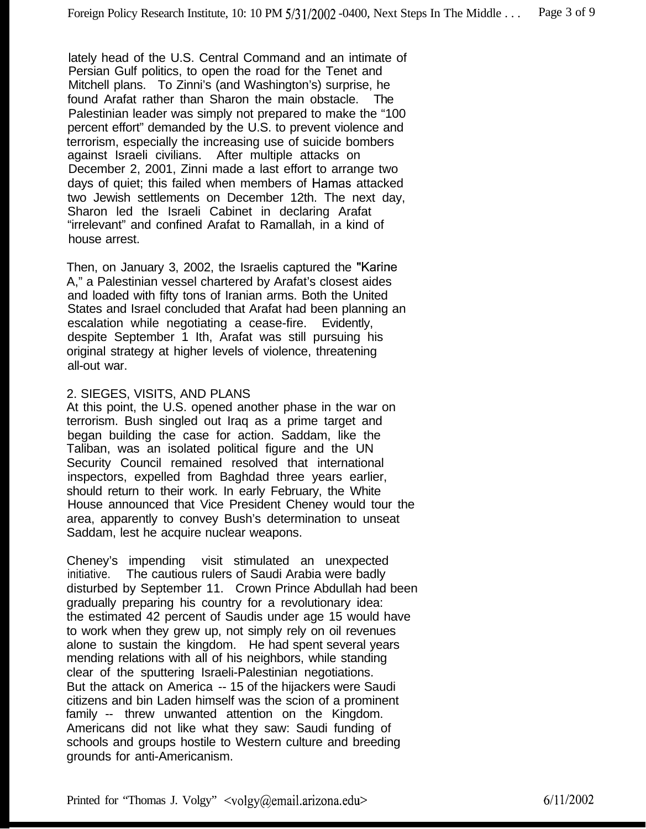lately head of the U.S. Central Command and an intimate of Persian Gulf politics, to open the road for the Tenet and Mitchell plans. To Zinni's (and Washington's) surprise, he found Arafat rather than Sharon the main obstacle. Palestinian leader was simply not prepared to make the "100 percent effort" demanded by the U.S. to prevent violence and terrorism, especially the increasing use of suicide bombers against Israeli civilians. After multiple attacks on December 2, 2001, Zinni made a last effort to arrange two days of quiet; this failed when members of Hamas attacked two Jewish settlements on December 12th. The next day, Sharon led the Israeli Cabinet in declaring Arafat "irrelevant" and confined Arafat to Ramallah, in a kind of house arrest.

Then, on January 3, 2002, the Israelis captured the "Karine A," a Palestinian vessel chartered by Arafat's closest aides and loaded with fifty tons of Iranian arms. Both the United States and Israel concluded that Arafat had been planning an escalation while negotiating a cease-fire. Evidently, despite September 1 Ith, Arafat was still pursuing his original strategy at higher levels of violence, threatening all-out war.

#### 2. SIEGES, VISITS, AND PLANS

At this point, the U.S. opened another phase in the war on terrorism. Bush singled out Iraq as a prime target and began building the case for action. Saddam, like the Taliban, was an isolated political figure and the UN Security Council remained resolved that international inspectors, expelled from Baghdad three years earlier, should return to their work. In early February, the White House announced that Vice President Cheney would tour the area, apparently to convey Bush's determination to unseat Saddam, lest he acquire nuclear weapons.

Cheney's impending visit stimulated an unexpected initiative. The cautious rulers of Saudi Arabia were badly disturbed by September 11. Crown Prince Abdullah had been gradually preparing his country for a revolutionary idea: the estimated 42 percent of Saudis under age 15 would have to work when they grew up, not simply rely on oil revenues alone to sustain the kingdom. He had spent several years mending relations with all of his neighbors, while standing clear of the sputtering Israeli-Palestinian negotiations. But the attack on America -- 15 of the hijackers were Saudi citizens and bin Laden himself was the scion of a prominent family -- threw unwanted attention on the Kingdom. Americans did not like what they saw: Saudi funding of schools and groups hostile to Western culture and breeding grounds for anti-Americanism.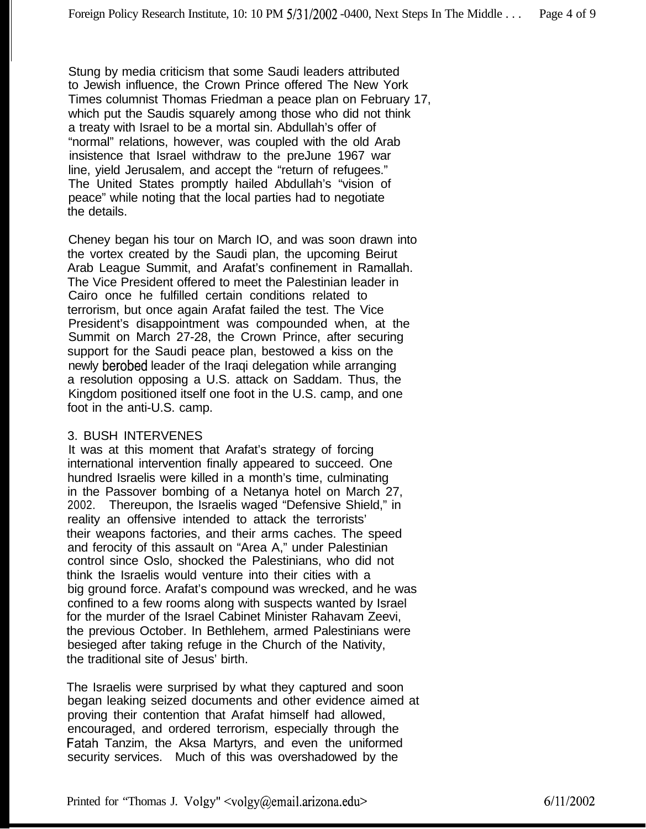Stung by media criticism that some Saudi leaders attributed to Jewish influence, the Crown Prince offered The New York Times columnist Thomas Friedman a peace plan on February 17, which put the Saudis squarely among those who did not think a treaty with Israel to be a mortal sin. Abdullah's offer of "normal" relations, however, was coupled with the old Arab insistence that Israel withdraw to the preJune 1967 war line, yield Jerusalem, and accept the "return of refugees." The United States promptly hailed Abdullah's "vision of peace" while noting that the local parties had to negotiate the details.

Cheney began his tour on March IO, and was soon drawn into the vortex created by the Saudi plan, the upcoming Beirut Arab League Summit, and Arafat's confinement in Ramallah. The Vice President offered to meet the Palestinian leader in Cairo once he fulfilled certain conditions related to terrorism, but once again Arafat failed the test. The Vice President's disappointment was compounded when, at the Summit on March 27-28, the Crown Prince, after securing support for the Saudi peace plan, bestowed a kiss on the newly berobed leader of the Iraqi delegation while arranging a resolution opposing a U.S. attack on Saddam. Thus, the Kingdom positioned itself one foot in the U.S. camp, and one foot in the anti-U.S. camp.

### 3. BUSH INTERVENES

It was at this moment that Arafat's strategy of forcing international intervention finally appeared to succeed. One hundred Israelis were killed in a month's time, culminating in the Passover bombing of a Netanya hotel on March 27, 2002. Thereupon, the Israelis waged "Defensive Shield," in reality an offensive intended to attack the terrorists' their weapons factories, and their arms caches. The speed and ferocity of this assault on "Area A," under Palestinian control since Oslo, shocked the Palestinians, who did not think the Israelis would venture into their cities with a big ground force. Arafat's compound was wrecked, and he was confined to a few rooms along with suspects wanted by Israel for the murder of the Israel Cabinet Minister Rahavam Zeevi, the previous October. In Bethlehem, armed Palestinians were besieged after taking refuge in the Church of the Nativity, the traditional site of Jesus' birth.

The Israelis were surprised by what they captured and soon began leaking seized documents and other evidence aimed at proving their contention that Arafat himself had allowed, encouraged, and ordered terrorism, especially through the Fatah Tanzim, the Aksa Martyrs, and even the uniformed security services. Much of this was overshadowed by the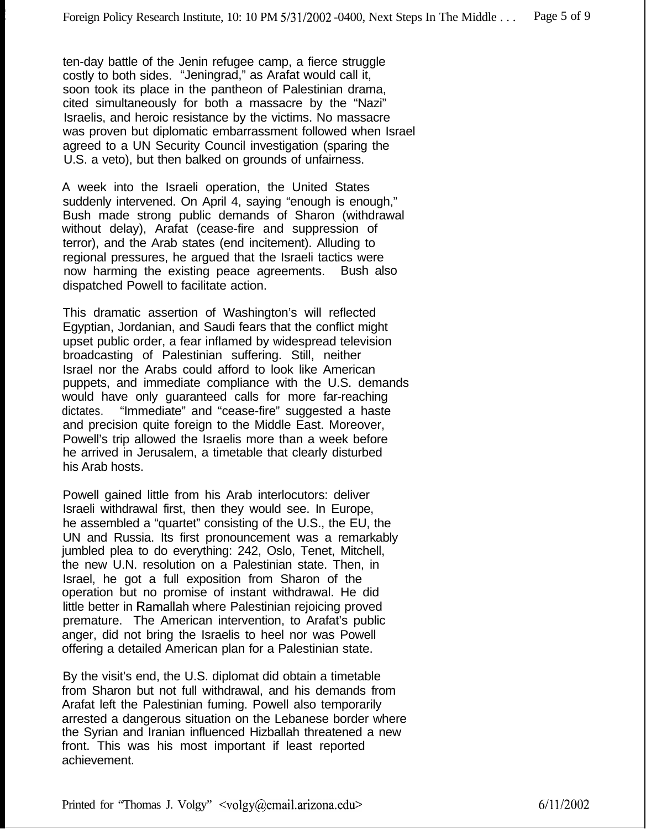ten-day battle of the Jenin refugee camp, a fierce struggle costly to both sides. "Jeningrad," as Arafat would call it, soon took its place in the pantheon of Palestinian drama, cited simultaneously for both a massacre by the "Nazi" Israelis, and heroic resistance by the victims. No massacre was proven but diplomatic embarrassment followed when Israel agreed to a UN Security Council investigation (sparing the U.S. a veto), but then balked on grounds of unfairness.

A week into the Israeli operation, the United States suddenly intervened. On April 4, saying "enough is enough," Bush made strong public demands of Sharon (withdrawal without delay), Arafat (cease-fire and suppression of terror), and the Arab states (end incitement). Alluding to regional pressures, he argued that the Israeli tactics were now harming the existing peace agreements. Bush also dispatched Powell to facilitate action.

This dramatic assertion of Washington's will reflected Egyptian, Jordanian, and Saudi fears that the conflict might upset public order, a fear inflamed by widespread television broadcasting of Palestinian suffering. Still, neither Israel nor the Arabs could afford to look like American puppets, and immediate compliance with the U.S. demands would have only guaranteed calls for more far-reaching dictates. "Immediate" and "cease-fire" suggested a haste and precision quite foreign to the Middle East. Moreover, Powell's trip allowed the Israelis more than a week before he arrived in Jerusalem, a timetable that clearly disturbed his Arab hosts.

Powell gained little from his Arab interlocutors: deliver Israeli withdrawal first, then they would see. In Europe, he assembled a "quartet" consisting of the U.S., the EU, the UN and Russia. Its first pronouncement was a remarkably jumbled plea to do everything: 242, Oslo, Tenet, Mitchell, the new U.N. resolution on a Palestinian state. Then, in Israel, he got a full exposition from Sharon of the operation but no promise of instant withdrawal. He did little better in Ramallah where Palestinian rejoicing proved premature. The American intervention, to Arafat's public anger, did not bring the Israelis to heel nor was Powell offering a detailed American plan for a Palestinian state.

By the visit's end, the U.S. diplomat did obtain a timetable from Sharon but not full withdrawal, and his demands from Arafat left the Palestinian fuming. Powell also temporarily arrested a dangerous situation on the Lebanese border where the Syrian and Iranian influenced Hizballah threatened a new front. This was his most important if least reported achievement.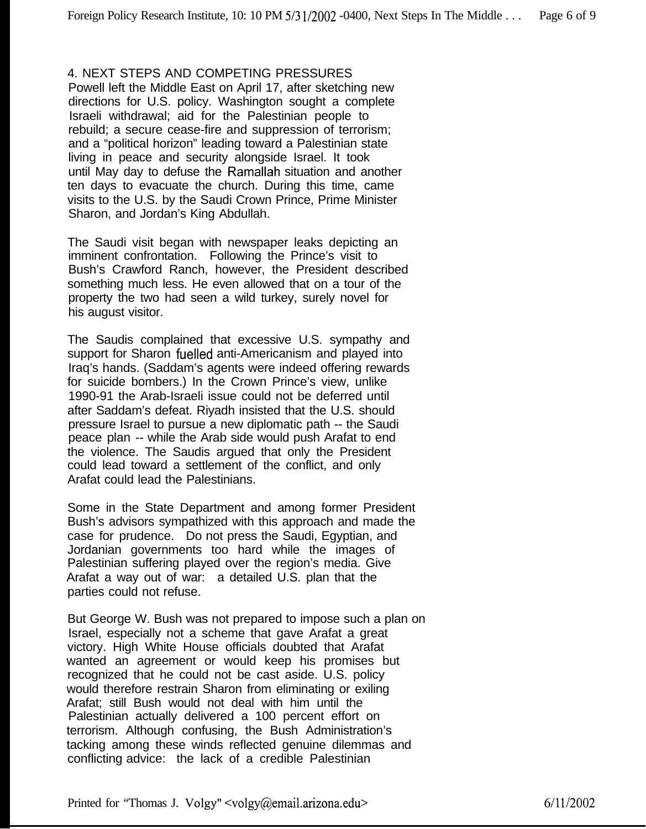## 4. NEXT STEPS AND COMPETING PRESSURES

Powell left the Middle East on April 17, after sketching new directions for U.S. policy. Washington sought a complete Israeli withdrawal; aid for the Palestinian people to rebuild; a secure cease-fire and suppression of terrorism; and a "political horizon" leading toward a Palestinian state living in peace and security alongside Israel. It took until May day to defuse the Ramallah situation and another ten days to evacuate the church. During this time, came visits to the U.S. by the Saudi Crown Prince, Prime Minister Sharon, and Jordan's King Abdullah.

The Saudi visit began with newspaper leaks depicting an imminent confrontation. Following the Prince's visit to Bush's Crawford Ranch, however, the President described something much less. He even allowed that on a tour of the property the two had seen a wild turkey, surely novel for his august visitor.

The Saudis complained that excessive U.S. sympathy and support for Sharon fuelled anti-Americanism and played into Iraq's hands. (Saddam's agents were indeed offering rewards for suicide bombers.) In the Crown Prince's view, unlike 1990-91 the Arab-Israeli issue could not be deferred until after Saddam's defeat. Riyadh insisted that the U.S. should pressure Israel to pursue a new diplomatic path -- the Saudi peace plan -- while the Arab side would push Arafat to end the violence. The Saudis argued that only the President could lead toward a settlement of the conflict, and only Arafat could lead the Palestinians.

Some in the State Department and among former President Bush's advisors sympathized with this approach and made the case for prudence. Do not press the Saudi, Egyptian, and Jordanian governments too hard while the images of Palestinian suffering played over the region's media. Give Arafat a way out of war: a detailed U.S. plan that the parties could not refuse.

But George W. Bush was not prepared to impose such a plan on Israel, especially not a scheme that gave Arafat a great victory. High White House officials doubted that Arafat wanted an agreement or would keep his promises but recognized that he could not be cast aside. U.S. policy would therefore restrain Sharon from eliminating or exiling Arafat; still Bush would not deal with him until the Palestinian actually delivered a 100 percent effort on terrorism. Although confusing, the Bush Administration's tacking among these winds reflected genuine dilemmas and conflicting advice: the lack of a credible Palestinian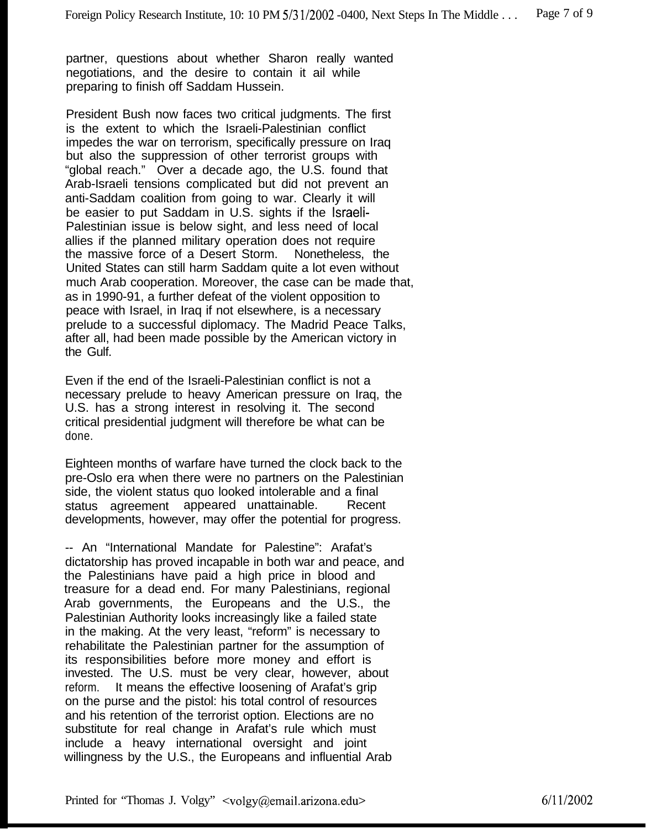partner, questions about whether Sharon really wanted negotiations, and the desire to contain it ail while preparing to finish off Saddam Hussein.

President Bush now faces two critical judgments. The first is the extent to which the Israeli-Palestinian conflict impedes the war on terrorism, specifically pressure on Iraq but also the suppression of other terrorist groups with "global reach." Over a decade ago, the U.S. found that Arab-Israeli tensions complicated but did not prevent an anti-Saddam coalition from going to war. Clearly it will be easier to put Saddam in U.S. sights if the Israeli-Palestinian issue is below sight, and less need of local allies if the planned military operation does not require<br>the massive force of a Desert Storm. Nonetheless, the the massive force of a Desert Storm. United States can still harm Saddam quite a lot even without much Arab cooperation. Moreover, the case can be made that, as in 1990-91, a further defeat of the violent opposition to peace with Israel, in Iraq if not elsewhere, is a necessary prelude to a successful diplomacy. The Madrid Peace Talks, after all, had been made possible by the American victory in the Gulf.

Even if the end of the Israeli-Palestinian conflict is not a necessary prelude to heavy American pressure on Iraq, the U.S. has a strong interest in resolving it. The second critical presidential judgment will therefore be what can be done.

Eighteen months of warfare have turned the clock back to the pre-Oslo era when there were no partners on the Palestinian side, the violent status quo looked intolerable and a final status agreement appeared unattainable. Recent developments, however, may offer the potential for progress.

-- An "International Mandate for Palestine": Arafat's dictatorship has proved incapable in both war and peace, and the Palestinians have paid a high price in blood and treasure for a dead end. For many Palestinians, regional Arab governments, the Europeans and the U.S., the Palestinian Authority looks increasingly like a failed state in the making. At the very least, "reform" is necessary to rehabilitate the Palestinian partner for the assumption of its responsibilities before more money and effort is invested. The U.S. must be very clear, however, about reform. It means the effective loosening of Arafat's grip on the purse and the pistol: his total control of resources and his retention of the terrorist option. Elections are no substitute for real change in Arafat's rule which must include a heavy international oversight and joint willingness by the U.S., the Europeans and influential Arab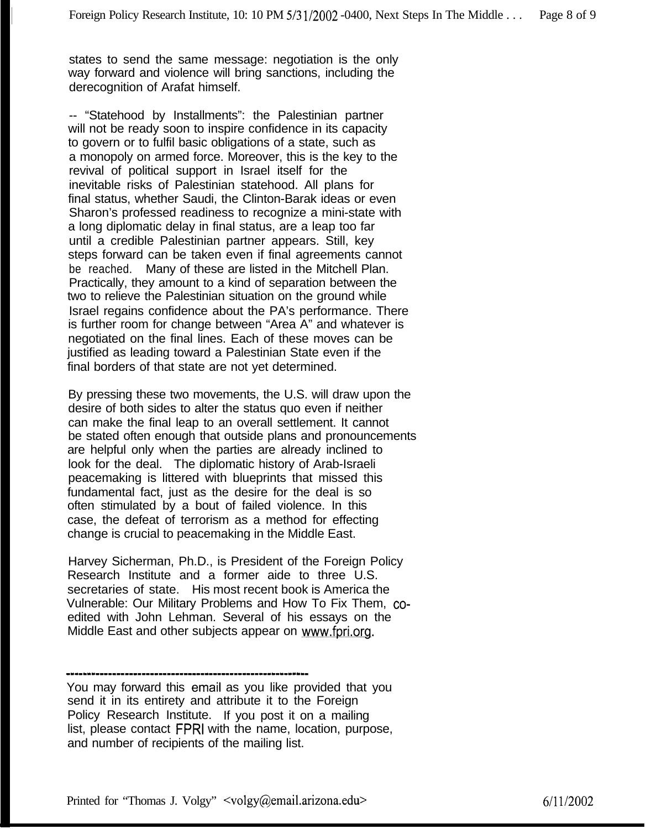states to send the same message: negotiation is the only way forward and violence will bring sanctions, including the derecognition of Arafat himself.

-- "Statehood by Installments": the Palestinian partner will not be ready soon to inspire confidence in its capacity to govern or to fulfil basic obligations of a state, such as a monopoly on armed force. Moreover, this is the key to the revival of political support in Israel itself for the inevitable risks of Palestinian statehood. All plans for final status, whether Saudi, the Clinton-Barak ideas or even Sharon's professed readiness to recognize a mini-state with a long diplomatic delay in final status, are a leap too far until a credible Palestinian partner appears. Still, key steps forward can be taken even if final agreements cannot be reached. Many of these are listed in the Mitchell Plan. Practically, they amount to a kind of separation between the two to relieve the Palestinian situation on the ground while Israel regains confidence about the PA's performance. There is further room for change between "Area A" and whatever is negotiated on the final lines. Each of these moves can be justified as leading toward a Palestinian State even if the final borders of that state are not yet determined.

By pressing these two movements, the U.S. will draw upon the desire of both sides to alter the status quo even if neither can make the final leap to an overall settlement. It cannot be stated often enough that outside plans and pronouncements are helpful only when the parties are already inclined to look for the deal. The diplomatic history of Arab-Israeli peacemaking is littered with blueprints that missed this fundamental fact, just as the desire for the deal is so often stimulated by a bout of failed violence. In this case, the defeat of terrorism as a method for effecting change is crucial to peacemaking in the Middle East.

Harvey Sicherman, Ph.D., is President of the Foreign Policy Research Institute and a former aide to three U.S. secretaries of state. His most recent book is America the Vulnerable: Our Military Problems and How To Fix Them, coedited with John Lehman. Several of his essays on the Middle East and other subjects appear on www.fpri.org.

<sup>----------------------------------------------------------</sup>

You may forward this email as you like provided that you send it in its entirety and attribute it to the Foreign Policy Research Institute. If you post it on a mailing list, please contact FPRI with the name, location, purpose, and number of recipients of the mailing list.